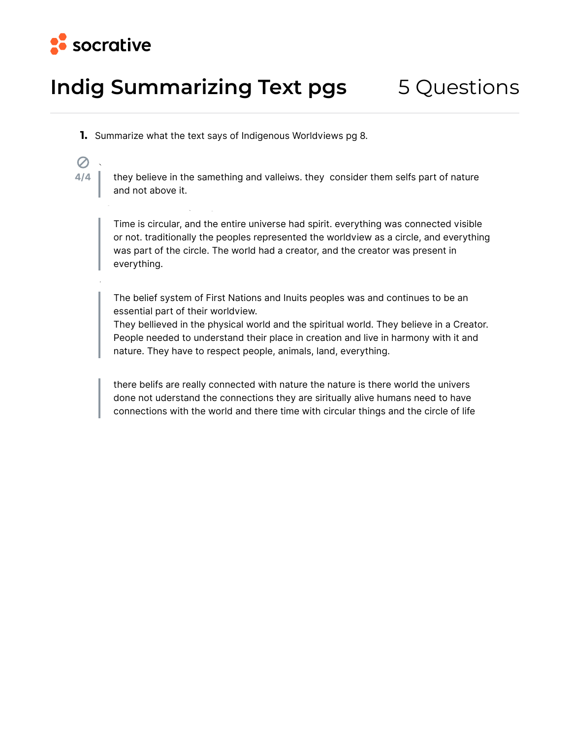

## **Indig Summarizing Text pgs** 5 Questions

**adamlucasmatthewlowdemilkhaduik**

**Ava, Ella, Thea, Eic**

- **1.** Summarize what the text says of Indigenous Worldviews pg 8.
- $\infty$ **4/4**

**CDS**

they believe in the samething and valleiws. they consider them selfs part of nature and not above it.

Time is circular, and the entire universe had spirit. everything was connected visible or not. traditionally the peoples represented the worldview as a circle, and eveything was part of the circle. The world had a creator, and the creator was present in everything.

The belief system of First Nations and Inuits peoples was and continues to be an essential part of their worldview.

They bellieved in the physical world and the spiritual world. They believe in a Creator. People needed to understand their place in creation and live in hamony with it and nature. They have to respect people, animals, land, eveything.

there belifs are really connected with nature the nature is there world the univers done not uderstand the connections they are siritually alive humans need to have connections with the world and there time with circular things and the circle of life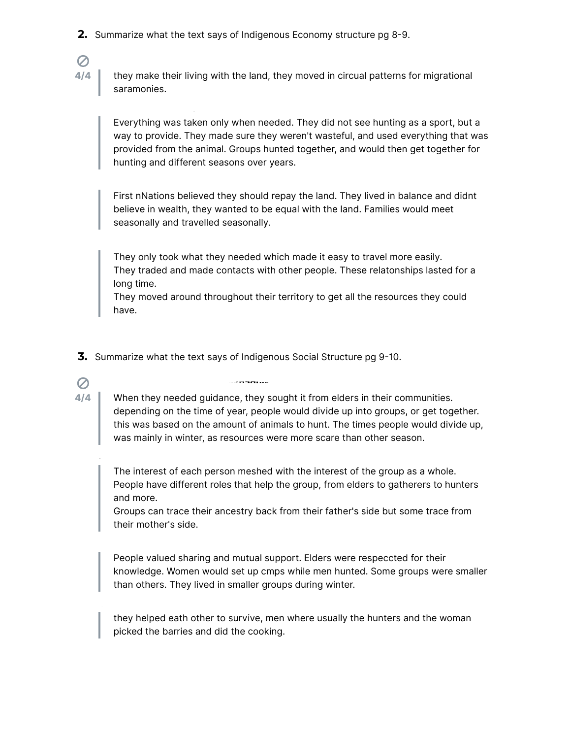**2.** Summarize what the text says of Indigenous Economy structure pg 8-9.

**4/4**

 $\mathcal{O}$ 

**4/4**

 $\mathcal{O}$ 

**Ava, Ella, Thea, Eic**

they make their living with the land, they moved in circual pattens for migrational saramonies.

Eveything was taken only when needed. They did not see hunting as a spot, but a way to provide. They made sure they weren't wasteful, and used eveything that was provided from the animal. Groups hunted together, and would then get together for hunting and different seasons over years.

First nNations believed they should repay the land. They lived in balance and didnt believe in wealth, they wanted to be equal with the land. Families would meet seasonally and travelled seasonally.

They only took what they needed which made it easy to travel more easily. They traded and made contacts with other people. These relatonships lasted for a long time.

They moved around throughout their territory to get all the resources they could have.

**3.** Summarize what the text says of Indigenous Social Structure pg 9-10.

**adamlucasmatthewlowdemilkhaduik**

When they needed guidance, they sought it from elders in their communities. depending on the time of year, people would divide up into groups, or get together. this was based on the amount of animals to hunt. The times people would divide up, was mainly in winter, as resources were more scare than other season.

The interest of each person meshed with the interest of the group as a whole. People have different roles that help the group, from elders to gatherers to hunters and more.

Groups can trace their ancesty back from their fathe's side but some trace from their mothe's side.

People valued sharing and mutual support. Elders were respeccted for their knowledge. Women would set up cmps while men hunted. Some groups were smaller than others. They lived in smaller groups during winter.

they helped eath other to suvive, men where usually the hunters and the woman picked the barries and did the cooking.